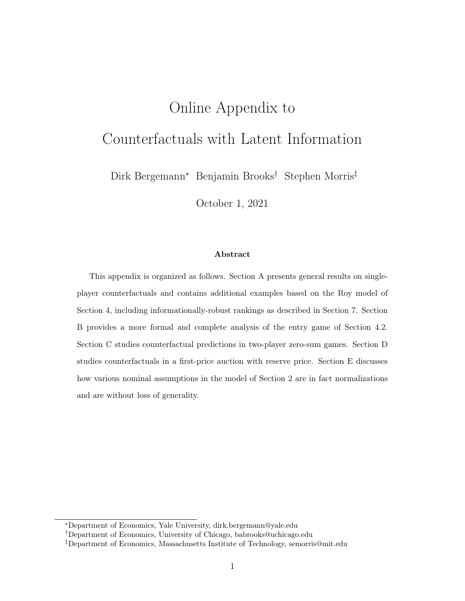# Online Appendix to Counterfactuals with Latent Information

Dirk Bergemann<sup>∗</sup> Benjamin Brooks† Stephen Morris‡

October 1, 2021

### Abstract

This appendix is organized as follows. Section A presents general results on singleplayer counterfactuals and contains additional examples based on the Roy model of Section 4, including informationally-robust rankings as described in Section 7. Section B provides a more formal and complete analysis of the entry game of Section 4.2. Section C studies counterfactual predictions in two-player zero-sum games. Section D studies counterfactuals in a first-price auction with reserve price. Section E discusses how various nominal assumptions in the model of Section 2 are in fact normalizations and are without loss of generality.

<sup>∗</sup>Department of Economics, Yale University, dirk.bergemann@yale.edu

<sup>†</sup>Department of Economics, University of Chicago, babrooks@uchicago.edu

<sup>‡</sup>Department of Economics, Massachusetts Institute of Technology, semorris@mit.edu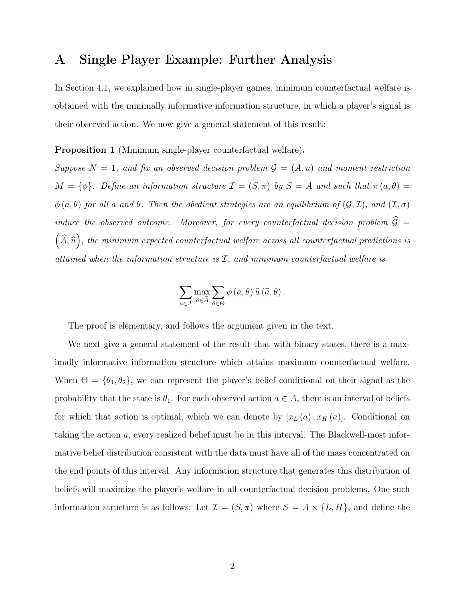## A Single Player Example: Further Analysis

In Section 4.1, we explained how in single-player games, minimum counterfactual welfare is obtained with the minimally informative information structure, in which a player's signal is their observed action. We now give a general statement of this result:

Proposition 1 (Minimum single-player counterfactual welfare).

Suppose  $N = 1$ , and fix an observed decision problem  $\mathcal{G} = (A, u)$  and moment restriction  $M = {\phi}.$  Define an information structure  $\mathcal{I} = (S, \pi)$  by  $S = A$  and such that  $\pi(a, \theta) =$  $\phi(a, \theta)$  for all a and  $\theta$ . Then the obedient strategies are an equilibrium of  $(\mathcal{G}, \mathcal{I})$ , and  $(\mathcal{I}, \sigma)$ induce the observed outcome. Moreover, for every counterfactual decision problem  $\widehat{G}$  =  $\left(\widehat{A},\widehat{u}\right)$ , the minimum expected counterfactual welfare across all counterfactual predictions is attained when the information structure is  $I$ , and minimum counterfactual welfare is

$$
\sum_{a\in A} \max_{\widehat{a}\in \widehat{A}} \sum_{\theta\in \Theta} \phi(a,\theta) \widehat{u}(\widehat{a},\theta).
$$

The proof is elementary, and follows the argument given in the text.

We next give a general statement of the result that with binary states, there is a maximally informative information structure which attains maximum counterfactual welfare. When  $\Theta = {\theta_1, \theta_2}$ , we can represent the player's belief conditional on their signal as the probability that the state is  $\theta_1$ . For each observed action  $a \in A$ , there is an interval of beliefs for which that action is optimal, which we can denote by  $[x_L(a), x_H(a)]$ . Conditional on taking the action a, every realized belief must be in this interval. The Blackwell-most informative belief distribution consistent with the data must have all of the mass concentrated on the end points of this interval. Any information structure that generates this distribution of beliefs will maximize the player's welfare in all counterfactual decision problems. One such information structure is as follows: Let  $\mathcal{I} = (S, \pi)$  where  $S = A \times \{L, H\}$ , and define the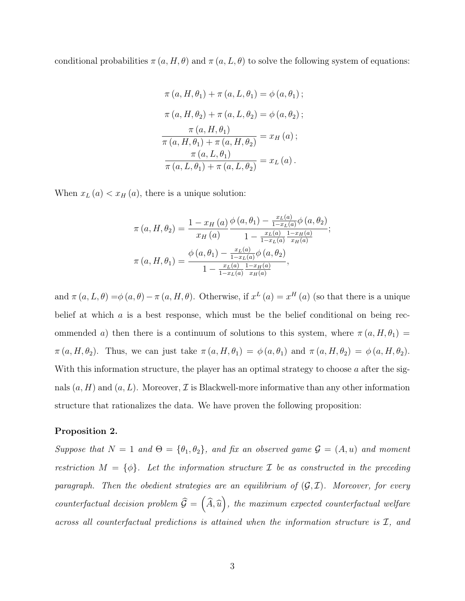conditional probabilities  $\pi(a, H, \theta)$  and  $\pi(a, L, \theta)$  to solve the following system of equations:

$$
\pi (a, H, \theta_1) + \pi (a, L, \theta_1) = \phi (a, \theta_1) ;
$$
  

$$
\pi (a, H, \theta_2) + \pi (a, L, \theta_2) = \phi (a, \theta_2) ;
$$
  

$$
\frac{\pi (a, H, \theta_1)}{\pi (a, H, \theta_1) + \pi (a, H, \theta_2)} = x_H (a) ;
$$
  

$$
\frac{\pi (a, L, \theta_1)}{\pi (a, L, \theta_1) + \pi (a, L, \theta_2)} = x_L (a) .
$$

When  $x_L(a) < x_H(a)$ , there is a unique solution:

$$
\pi(a, H, \theta_2) = \frac{1 - x_H(a)}{x_H(a)} \frac{\phi(a, \theta_1) - \frac{x_L(a)}{1 - x_L(a)} \phi(a, \theta_2)}{1 - \frac{x_L(a)}{1 - x_L(a)} \frac{1 - x_H(a)}{x_H(a)}};
$$

$$
\pi(a, H, \theta_1) = \frac{\phi(a, \theta_1) - \frac{x_L(a)}{1 - x_L(a)} \phi(a, \theta_2)}{1 - \frac{x_L(a)}{1 - x_L(a)} \frac{1 - x_H(a)}{x_H(a)}},
$$

and  $\pi(a, L, \theta) = \phi(a, \theta) - \pi(a, H, \theta)$ . Otherwise, if  $x^L(a) = x^H(a)$  (so that there is a unique belief at which  $\alpha$  is a best response, which must be the belief conditional on being recommended a) then there is a continuum of solutions to this system, where  $\pi(a, H, \theta_1)$  $\pi(a, H, \theta_2)$ . Thus, we can just take  $\pi(a, H, \theta_1) = \phi(a, \theta_1)$  and  $\pi(a, H, \theta_2) = \phi(a, H, \theta_2)$ . With this information structure, the player has an optimal strategy to choose  $a$  after the signals  $(a, H)$  and  $(a, L)$ . Moreover,  $\mathcal I$  is Blackwell-more informative than any other information structure that rationalizes the data. We have proven the following proposition:

#### Proposition 2.

Suppose that  $N = 1$  and  $\Theta = {\theta_1, \theta_2}$ , and fix an observed game  $\mathcal{G} = (A, u)$  and moment restriction  $M = {\phi}$ . Let the information structure  $\mathcal I$  be as constructed in the preceding paragraph. Then the obedient strategies are an equilibrium of  $(G, \mathcal{I})$ . Moreover, for every counterfactual decision problem  $\widehat{G} = (\widehat{A}, \widehat{u})$ , the maximum expected counterfactual welfare across all counterfactual predictions is attained when the information structure is I, and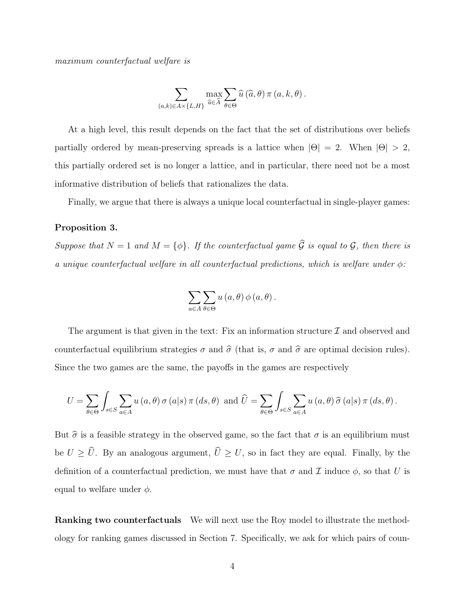maximum counterfactual welfare is

$$
\sum_{(a,k)\in A\times\{L,H\}} \max_{\widehat{a}\in\widehat{A}} \sum_{\theta\in\Theta} \widehat{u}\left(\widehat{a},\theta\right) \pi\left(a,k,\theta\right).
$$

At a high level, this result depends on the fact that the set of distributions over beliefs partially ordered by mean-preserving spreads is a lattice when  $|\Theta| = 2$ . When  $|\Theta| > 2$ , this partially ordered set is no longer a lattice, and in particular, there need not be a most informative distribution of beliefs that rationalizes the data.

Finally, we argue that there is always a unique local counterfactual in single-player games:

#### Proposition 3.

Suppose that  $N = 1$  and  $M = {\phi}.$  If the counterfactual game  $\widehat{\mathcal{G}}$  is equal to  $\mathcal{G}$ , then there is a unique counterfactual welfare in all counterfactual predictions, which is welfare under  $\phi$ :

$$
\sum_{a\in A}\sum_{\theta\in\Theta}u(a,\theta)\,\phi(a,\theta)\,.
$$

The argument is that given in the text: Fix an information structure  $\mathcal I$  and observed and counterfactual equilibrium strategies  $\sigma$  and  $\hat{\sigma}$  (that is,  $\sigma$  and  $\hat{\sigma}$  are optimal decision rules). Since the two games are the same, the payoffs in the games are respectively

$$
U = \sum_{\theta \in \Theta} \int_{s \in S} \sum_{a \in A} u(a, \theta) \sigma(a|s) \pi(ds, \theta) \text{ and } \widehat{U} = \sum_{\theta \in \Theta} \int_{s \in S} \sum_{a \in A} u(a, \theta) \widehat{\sigma}(a|s) \pi(ds, \theta).
$$

But  $\hat{\sigma}$  is a feasible strategy in the observed game, so the fact that  $\sigma$  is an equilibrium must be  $U \geq \hat{U}$ . By an analogous argument,  $\hat{U} \geq U$ , so in fact they are equal. Finally, by the definition of a counterfactual prediction, we must have that  $\sigma$  and  $\mathcal I$  induce  $\phi$ , so that U is equal to welfare under  $\phi$ .

Ranking two counterfactuals We will next use the Roy model to illustrate the methodology for ranking games discussed in Section 7. Specifically, we ask for which pairs of coun-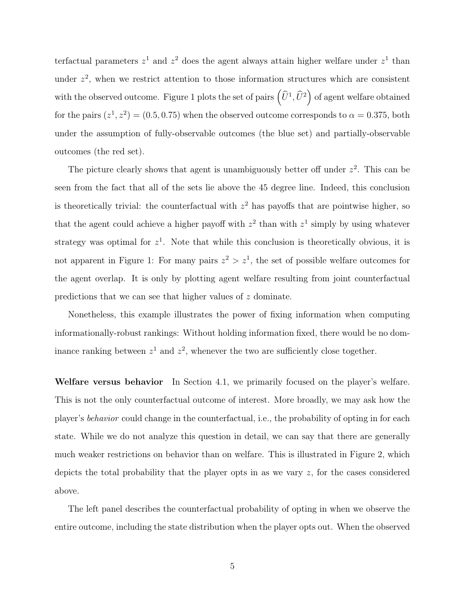terfactual parameters  $z^1$  and  $z^2$  does the agent always attain higher welfare under  $z^1$  than under  $z^2$ , when we restrict attention to those information structures which are consistent with the observed outcome. Figure 1 plots the set of pairs  $(\widehat{U}^1, \widehat{U}^2)$  of agent welfare obtained for the pairs  $(z^1, z^2) = (0.5, 0.75)$  when the observed outcome corresponds to  $\alpha = 0.375$ , both under the assumption of fully-observable outcomes (the blue set) and partially-observable outcomes (the red set).

The picture clearly shows that agent is unambiguously better off under  $z^2$ . This can be seen from the fact that all of the sets lie above the 45 degree line. Indeed, this conclusion is theoretically trivial: the counterfactual with  $z<sup>2</sup>$  has payoffs that are pointwise higher, so that the agent could achieve a higher payoff with  $z^2$  than with  $z^1$  simply by using whatever strategy was optimal for  $z<sup>1</sup>$ . Note that while this conclusion is theoretically obvious, it is not apparent in Figure 1: For many pairs  $z^2 > z^1$ , the set of possible welfare outcomes for the agent overlap. It is only by plotting agent welfare resulting from joint counterfactual predictions that we can see that higher values of z dominate.

Nonetheless, this example illustrates the power of fixing information when computing informationally-robust rankings: Without holding information fixed, there would be no dominance ranking between  $z^1$  and  $z^2$ , whenever the two are sufficiently close together.

Welfare versus behavior In Section 4.1, we primarily focused on the player's welfare. This is not the only counterfactual outcome of interest. More broadly, we may ask how the player's behavior could change in the counterfactual, i.e., the probability of opting in for each state. While we do not analyze this question in detail, we can say that there are generally much weaker restrictions on behavior than on welfare. This is illustrated in Figure 2, which depicts the total probability that the player opts in as we vary z, for the cases considered above.

The left panel describes the counterfactual probability of opting in when we observe the entire outcome, including the state distribution when the player opts out. When the observed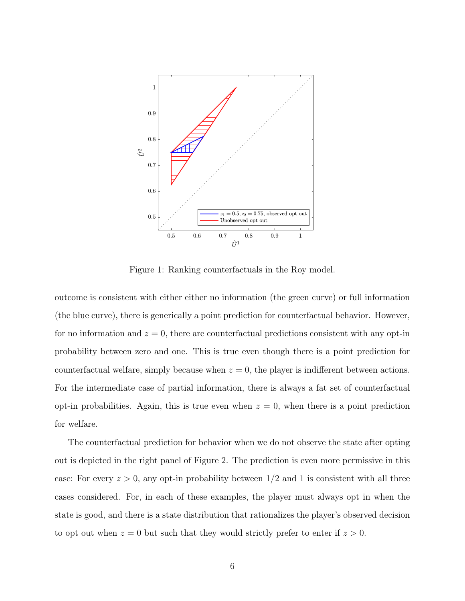

Figure 1: Ranking counterfactuals in the Roy model.

outcome is consistent with either either no information (the green curve) or full information (the blue curve), there is generically a point prediction for counterfactual behavior. However, for no information and  $z = 0$ , there are counterfactual predictions consistent with any opt-in probability between zero and one. This is true even though there is a point prediction for counterfactual welfare, simply because when  $z = 0$ , the player is indifferent between actions. For the intermediate case of partial information, there is always a fat set of counterfactual opt-in probabilities. Again, this is true even when  $z = 0$ , when there is a point prediction for welfare.

The counterfactual prediction for behavior when we do not observe the state after opting out is depicted in the right panel of Figure 2. The prediction is even more permissive in this case: For every  $z > 0$ , any opt-in probability between  $1/2$  and 1 is consistent with all three cases considered. For, in each of these examples, the player must always opt in when the state is good, and there is a state distribution that rationalizes the player's observed decision to opt out when  $z = 0$  but such that they would strictly prefer to enter if  $z > 0$ .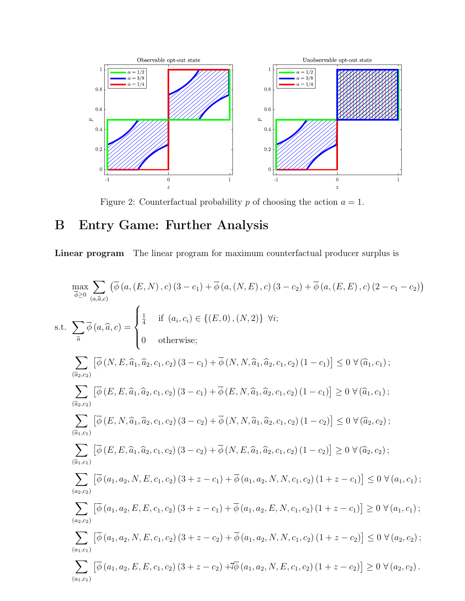

Figure 2: Counterfactual probability  $p$  of choosing the action  $a = 1$ .

# B Entry Game: Further Analysis

Linear program The linear program for maximum counterfactual producer surplus is

$$
\max_{\bar{\phi}\geq 0} \sum_{(a,\bar{a},c)} (\bar{\phi}(a,(E,N),c)(3-c_{1}) + \bar{\phi}(a,(N,E),c)(3-c_{2}) + \bar{\phi}(a,(E,E),c)(2-c_{1}-c_{2}))
$$
\n
$$
\text{s.t. } \sum_{\bar{a}} \bar{\phi}(a,\hat{a},c) = \begin{cases}\n\frac{1}{4} & \text{if } (a_{i},c_{i}) \in \{(E,0),(N,2)\} \ \forall i; \\
0 & \text{otherwise};\n\end{cases}
$$
\n
$$
\sum_{(\bar{a}_{2},c_{2})} [\bar{\phi}(N,E,\hat{a}_{1},\hat{a}_{2},c_{1},c_{2})(3-c_{1}) + \bar{\phi}(N,N,\hat{a}_{1},\hat{a}_{2},c_{1},c_{2})(1-c_{1})] \leq 0 \ \forall (\hat{a}_{1},c_{1});
$$
\n
$$
\sum_{(\bar{a}_{2},c_{2})} [\bar{\phi}(E,E,\hat{a}_{1},\hat{a}_{2},c_{1},c_{2})(3-c_{1}) + \bar{\phi}(E,N,\hat{a}_{1},\hat{a}_{2},c_{1},c_{2})(1-c_{1})] \geq 0 \ \forall (\hat{a}_{1},c_{1});
$$
\n
$$
\sum_{(\bar{a}_{1},c_{1})} [\bar{\phi}(E,N,\hat{a}_{1},\hat{a}_{2},c_{1},c_{2})(3-c_{2}) + \bar{\phi}(N,N,\hat{a}_{1},\hat{a}_{2},c_{1},c_{2})(1-c_{2})] \leq 0 \ \forall (\hat{a}_{2},c_{2});
$$
\n
$$
\sum_{(\bar{a}_{1},c_{1})} [\bar{\phi}(E,E,\hat{a}_{1},\hat{a}_{2},c_{1},c_{2})(3-c_{2}) + \bar{\phi}(N,E,\hat{a}_{1},\hat{a}_{2},c_{1},c_{2})(1-c_{2})] \geq 0 \ \forall (\hat{a}_{2},c_{2});
$$
\n
$$
\sum_{(\bar{a}_{2},c_{2})} [\bar{\phi}(a_{1},a_{2},N,E,c_{1},c_{2})(3+z-c_{1}) + \bar{\phi}(a_{1},a_{2},N,N,c_{1},c_{2})(1+z-c_{1})] \leq 0 \ \forall (a_{1},c_{1});
$$
\n
$$
\sum_{(\bar{a}_{2},c_{2})}
$$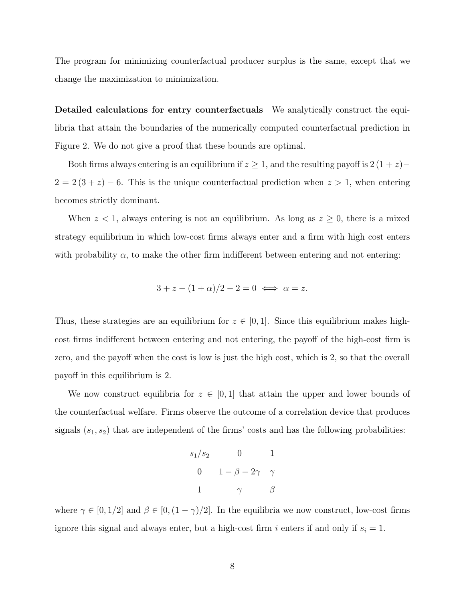The program for minimizing counterfactual producer surplus is the same, except that we change the maximization to minimization.

Detailed calculations for entry counterfactuals We analytically construct the equilibria that attain the boundaries of the numerically computed counterfactual prediction in Figure 2. We do not give a proof that these bounds are optimal.

Both firms always entering is an equilibrium if  $z \geq 1$ , and the resulting payoff is  $2(1+z)$ −  $2 = 2(3 + z) - 6$ . This is the unique counterfactual prediction when  $z > 1$ , when entering becomes strictly dominant.

When  $z < 1$ , always entering is not an equilibrium. As long as  $z \ge 0$ , there is a mixed strategy equilibrium in which low-cost firms always enter and a firm with high cost enters with probability  $\alpha$ , to make the other firm indifferent between entering and not entering:

$$
3 + z - (1 + \alpha)/2 - 2 = 0 \iff \alpha = z.
$$

Thus, these strategies are an equilibrium for  $z \in [0,1]$ . Since this equilibrium makes highcost firms indifferent between entering and not entering, the payoff of the high-cost firm is zero, and the payoff when the cost is low is just the high cost, which is 2, so that the overall payoff in this equilibrium is 2.

We now construct equilibria for  $z \in [0,1]$  that attain the upper and lower bounds of the counterfactual welfare. Firms observe the outcome of a correlation device that produces signals  $(s_1, s_2)$  that are independent of the firms' costs and has the following probabilities:

$$
s_1/s_2 \qquad 0 \qquad 1
$$

$$
0 \qquad 1 - \beta - 2\gamma \quad \gamma
$$

$$
1 \qquad \gamma \qquad \beta
$$

where  $\gamma \in [0, 1/2]$  and  $\beta \in [0, (1 - \gamma)/2]$ . In the equilibria we now construct, low-cost firms ignore this signal and always enter, but a high-cost firm i enters if and only if  $s_i = 1$ .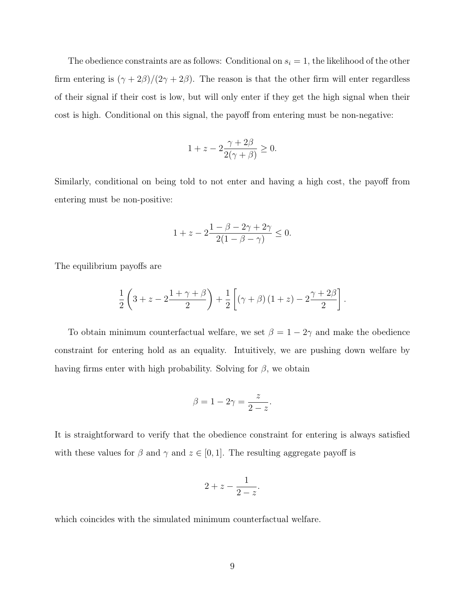The obedience constraints are as follows: Conditional on  $s_i = 1$ , the likelihood of the other firm entering is  $(\gamma + 2\beta)/(2\gamma + 2\beta)$ . The reason is that the other firm will enter regardless of their signal if their cost is low, but will only enter if they get the high signal when their cost is high. Conditional on this signal, the payoff from entering must be non-negative:

$$
1 + z - 2\frac{\gamma + 2\beta}{2(\gamma + \beta)} \ge 0.
$$

Similarly, conditional on being told to not enter and having a high cost, the payoff from entering must be non-positive:

$$
1 + z - 2\frac{1 - \beta - 2\gamma + 2\gamma}{2(1 - \beta - \gamma)} \le 0.
$$

The equilibrium payoffs are

$$
\frac{1}{2}\left(3+z-2\frac{1+\gamma+\beta}{2}\right)+\frac{1}{2}\left[\left(\gamma+\beta\right)\left(1+z\right)-2\frac{\gamma+2\beta}{2}\right].
$$

To obtain minimum counterfactual welfare, we set  $\beta = 1 - 2\gamma$  and make the obedience constraint for entering hold as an equality. Intuitively, we are pushing down welfare by having firms enter with high probability. Solving for  $\beta$ , we obtain

$$
\beta = 1 - 2\gamma = \frac{z}{2 - z}.
$$

It is straightforward to verify that the obedience constraint for entering is always satisfied with these values for  $\beta$  and  $\gamma$  and  $z \in [0, 1]$ . The resulting aggregate payoff is

$$
2 + z - \frac{1}{2 - z}.
$$

which coincides with the simulated minimum counterfactual welfare.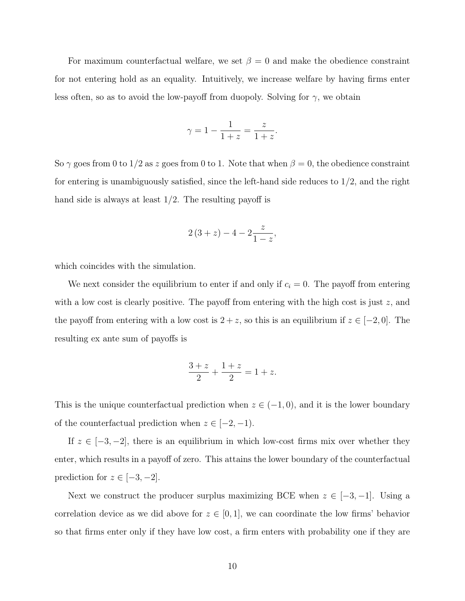For maximum counterfactual welfare, we set  $\beta = 0$  and make the obedience constraint for not entering hold as an equality. Intuitively, we increase welfare by having firms enter less often, so as to avoid the low-payoff from duopoly. Solving for  $\gamma$ , we obtain

$$
\gamma = 1 - \frac{1}{1+z} = \frac{z}{1+z}.
$$

So  $\gamma$  goes from 0 to 1/2 as z goes from 0 to 1. Note that when  $\beta = 0$ , the obedience constraint for entering is unambiguously satisfied, since the left-hand side reduces to 1/2, and the right hand side is always at least  $1/2$ . The resulting payoff is

$$
2(3 + z) - 4 - 2\frac{z}{1 - z},
$$

which coincides with the simulation.

We next consider the equilibrium to enter if and only if  $c_i = 0$ . The payoff from entering with a low cost is clearly positive. The payoff from entering with the high cost is just  $z$ , and the payoff from entering with a low cost is  $2 + z$ , so this is an equilibrium if  $z \in [-2, 0]$ . The resulting ex ante sum of payoffs is

$$
\frac{3+z}{2} + \frac{1+z}{2} = 1 + z.
$$

This is the unique counterfactual prediction when  $z \in (-1,0)$ , and it is the lower boundary of the counterfactual prediction when  $z \in [-2, -1)$ .

If  $z \in [-3, -2]$ , there is an equilibrium in which low-cost firms mix over whether they enter, which results in a payoff of zero. This attains the lower boundary of the counterfactual prediction for  $z \in [-3, -2]$ .

Next we construct the producer surplus maximizing BCE when  $z \in [-3, -1]$ . Using a correlation device as we did above for  $z \in [0,1]$ , we can coordinate the low firms' behavior so that firms enter only if they have low cost, a firm enters with probability one if they are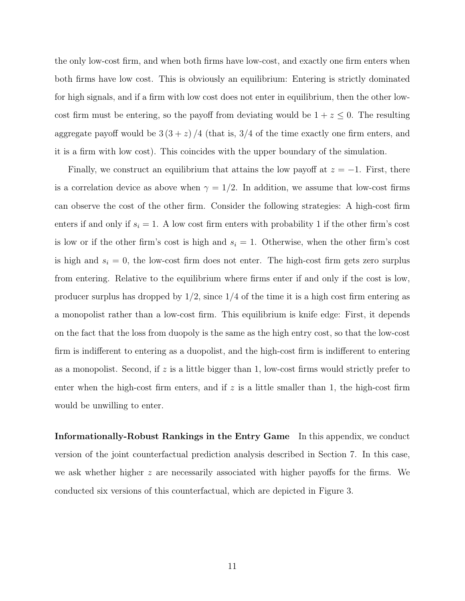the only low-cost firm, and when both firms have low-cost, and exactly one firm enters when both firms have low cost. This is obviously an equilibrium: Entering is strictly dominated for high signals, and if a firm with low cost does not enter in equilibrium, then the other lowcost firm must be entering, so the payoff from deviating would be  $1 + z \leq 0$ . The resulting aggregate payoff would be  $3(3 + z)/4$  (that is,  $3/4$  of the time exactly one firm enters, and it is a firm with low cost). This coincides with the upper boundary of the simulation.

Finally, we construct an equilibrium that attains the low payoff at  $z = -1$ . First, there is a correlation device as above when  $\gamma = 1/2$ . In addition, we assume that low-cost firms can observe the cost of the other firm. Consider the following strategies: A high-cost firm enters if and only if  $s_i = 1$ . A low cost firm enters with probability 1 if the other firm's cost is low or if the other firm's cost is high and  $s_i = 1$ . Otherwise, when the other firm's cost is high and  $s_i = 0$ , the low-cost firm does not enter. The high-cost firm gets zero surplus from entering. Relative to the equilibrium where firms enter if and only if the cost is low, producer surplus has dropped by  $1/2$ , since  $1/4$  of the time it is a high cost firm entering as a monopolist rather than a low-cost firm. This equilibrium is knife edge: First, it depends on the fact that the loss from duopoly is the same as the high entry cost, so that the low-cost firm is indifferent to entering as a duopolist, and the high-cost firm is indifferent to entering as a monopolist. Second, if z is a little bigger than 1, low-cost firms would strictly prefer to enter when the high-cost firm enters, and if  $z$  is a little smaller than 1, the high-cost firm would be unwilling to enter.

Informationally-Robust Rankings in the Entry Game In this appendix, we conduct version of the joint counterfactual prediction analysis described in Section 7. In this case, we ask whether higher  $z$  are necessarily associated with higher payoffs for the firms. We conducted six versions of this counterfactual, which are depicted in Figure 3.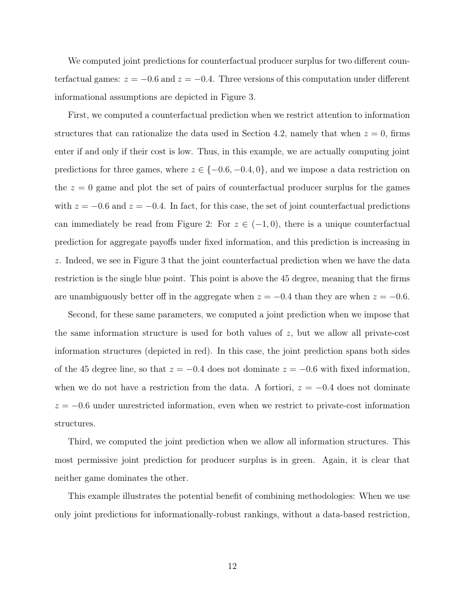We computed joint predictions for counterfactual producer surplus for two different counterfactual games:  $z = -0.6$  and  $z = -0.4$ . Three versions of this computation under different informational assumptions are depicted in Figure 3.

First, we computed a counterfactual prediction when we restrict attention to information structures that can rationalize the data used in Section 4.2, namely that when  $z = 0$ , firms enter if and only if their cost is low. Thus, in this example, we are actually computing joint predictions for three games, where  $z \in \{-0.6, -0.4, 0\}$ , and we impose a data restriction on the  $z = 0$  game and plot the set of pairs of counterfactual producer surplus for the games with  $z = -0.6$  and  $z = -0.4$ . In fact, for this case, the set of joint counterfactual predictions can immediately be read from Figure 2: For  $z \in (-1,0)$ , there is a unique counterfactual prediction for aggregate payoffs under fixed information, and this prediction is increasing in z. Indeed, we see in Figure 3 that the joint counterfactual prediction when we have the data restriction is the single blue point. This point is above the 45 degree, meaning that the firms are unambiguously better off in the aggregate when  $z = -0.4$  than they are when  $z = -0.6$ .

Second, for these same parameters, we computed a joint prediction when we impose that the same information structure is used for both values of  $z$ , but we allow all private-cost information structures (depicted in red). In this case, the joint prediction spans both sides of the 45 degree line, so that  $z = -0.4$  does not dominate  $z = -0.6$  with fixed information, when we do not have a restriction from the data. A fortiori,  $z = -0.4$  does not dominate  $z = -0.6$  under unrestricted information, even when we restrict to private-cost information structures.

Third, we computed the joint prediction when we allow all information structures. This most permissive joint prediction for producer surplus is in green. Again, it is clear that neither game dominates the other.

This example illustrates the potential benefit of combining methodologies: When we use only joint predictions for informationally-robust rankings, without a data-based restriction,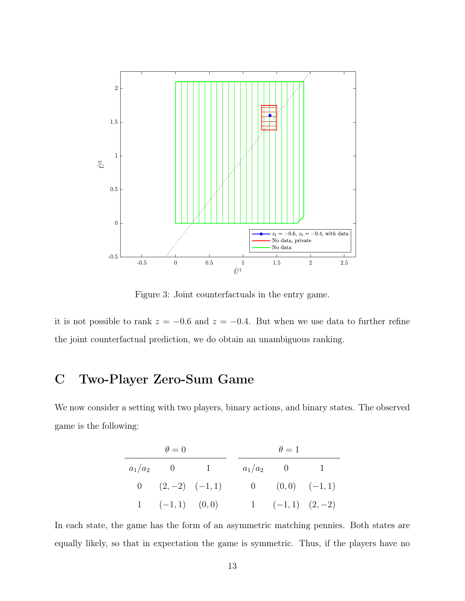

Figure 3: Joint counterfactuals in the entry game.

it is not possible to rank  $z = -0.6$  and  $z = -0.4$ . But when we use data to further refine the joint counterfactual prediction, we do obtain an unambiguous ranking.

# C Two-Player Zero-Sum Game

We now consider a setting with two players, binary actions, and binary states. The observed game is the following:

| $\theta = 0$ |                            |  | $\theta=1$ |  |                     |  |
|--------------|----------------------------|--|------------|--|---------------------|--|
|              | $a_1/a_2$ 0 1              |  |            |  | $a_1/a_2$ 0 1       |  |
|              | 0 $(2,-2)$ $(-1,1)$        |  |            |  | 0 $(0,0)$ $(-1,1)$  |  |
|              | $1\quad (-1,1)\quad (0,0)$ |  |            |  | 1 $(-1,1)$ $(2,-2)$ |  |

In each state, the game has the form of an asymmetric matching pennies. Both states are equally likely, so that in expectation the game is symmetric. Thus, if the players have no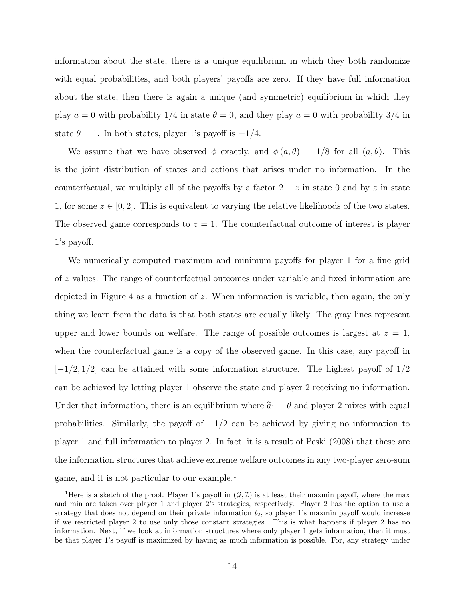information about the state, there is a unique equilibrium in which they both randomize with equal probabilities, and both players' payoffs are zero. If they have full information about the state, then there is again a unique (and symmetric) equilibrium in which they play  $a = 0$  with probability 1/4 in state  $\theta = 0$ , and they play  $a = 0$  with probability 3/4 in state  $\theta = 1$ . In both states, player 1's payoff is  $-1/4$ .

We assume that we have observed  $\phi$  exactly, and  $\phi(a, \theta) = 1/8$  for all  $(a, \theta)$ . This is the joint distribution of states and actions that arises under no information. In the counterfactual, we multiply all of the payoffs by a factor  $2 - z$  in state 0 and by z in state 1, for some  $z \in [0,2]$ . This is equivalent to varying the relative likelihoods of the two states. The observed game corresponds to  $z = 1$ . The counterfactual outcome of interest is player 1's payoff.

We numerically computed maximum and minimum payoffs for player 1 for a fine grid of z values. The range of counterfactual outcomes under variable and fixed information are depicted in Figure 4 as a function of z. When information is variable, then again, the only thing we learn from the data is that both states are equally likely. The gray lines represent upper and lower bounds on welfare. The range of possible outcomes is largest at  $z = 1$ , when the counterfactual game is a copy of the observed game. In this case, any payoff in  $[-1/2, 1/2]$  can be attained with some information structure. The highest payoff of  $1/2$ can be achieved by letting player 1 observe the state and player 2 receiving no information. Under that information, there is an equilibrium where  $\hat{a}_1 = \theta$  and player 2 mixes with equal probabilities. Similarly, the payoff of  $-1/2$  can be achieved by giving no information to player 1 and full information to player 2. In fact, it is a result of Peski (2008) that these are the information structures that achieve extreme welfare outcomes in any two-player zero-sum game, and it is not particular to our example.<sup>1</sup>

<sup>&</sup>lt;sup>1</sup>Here is a sketch of the proof. Player 1's payoff in  $(\mathcal{G}, \mathcal{I})$  is at least their maxmin payoff, where the max and min are taken over player 1 and player 2's strategies, respectively. Player 2 has the option to use a strategy that does not depend on their private information  $t_2$ , so player 1's maxmin payoff would increase if we restricted player 2 to use only those constant strategies. This is what happens if player 2 has no information. Next, if we look at information structures where only player 1 gets information, then it must be that player 1's payoff is maximized by having as much information is possible. For, any strategy under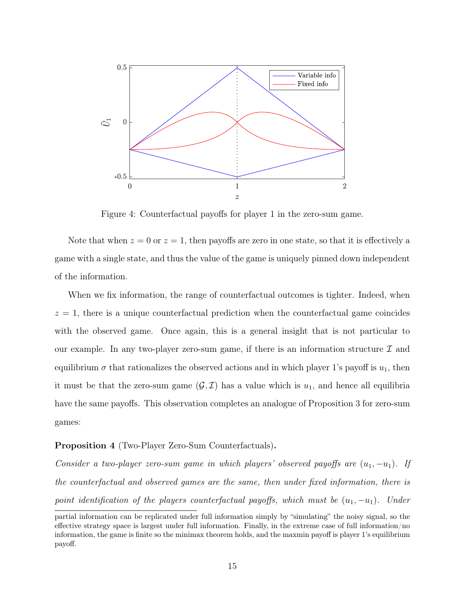

Figure 4: Counterfactual payoffs for player 1 in the zero-sum game.

Note that when  $z = 0$  or  $z = 1$ , then payoffs are zero in one state, so that it is effectively a game with a single state, and thus the value of the game is uniquely pinned down independent of the information.

When we fix information, the range of counterfactual outcomes is tighter. Indeed, when  $z = 1$ , there is a unique counterfactual prediction when the counterfactual game coincides with the observed game. Once again, this is a general insight that is not particular to our example. In any two-player zero-sum game, if there is an information structure  $\mathcal I$  and equilibrium  $\sigma$  that rationalizes the observed actions and in which player 1's payoff is  $u_1$ , then it must be that the zero-sum game  $(G, \mathcal{I})$  has a value which is  $u_1$ , and hence all equilibria have the same payoffs. This observation completes an analogue of Proposition 3 for zero-sum games:

### Proposition 4 (Two-Player Zero-Sum Counterfactuals).

Consider a two-player zero-sum game in which players' observed payoffs are  $(u_1, -u_1)$ . If the counterfactual and observed games are the same, then under fixed information, there is point identification of the players counterfactual payoffs, which must be  $(u_1, -u_1)$ . Under

partial information can be replicated under full information simply by "simulating" the noisy signal, so the effective strategy space is largest under full information. Finally, in the extreme case of full information/no information, the game is finite so the minimax theorem holds, and the maxmin payoff is player 1's equilibrium payoff.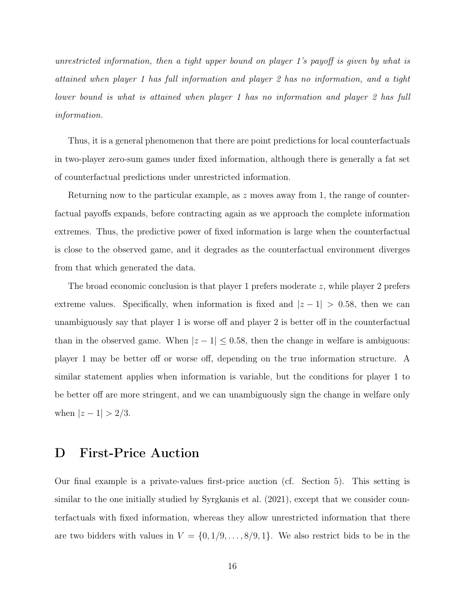unrestricted information, then a tight upper bound on player 1's payoff is given by what is attained when player 1 has full information and player 2 has no information, and a tight lower bound is what is attained when player 1 has no information and player 2 has full information.

Thus, it is a general phenomenon that there are point predictions for local counterfactuals in two-player zero-sum games under fixed information, although there is generally a fat set of counterfactual predictions under unrestricted information.

Returning now to the particular example, as z moves away from 1, the range of counterfactual payoffs expands, before contracting again as we approach the complete information extremes. Thus, the predictive power of fixed information is large when the counterfactual is close to the observed game, and it degrades as the counterfactual environment diverges from that which generated the data.

The broad economic conclusion is that player 1 prefers moderate z, while player 2 prefers extreme values. Specifically, when information is fixed and  $|z - 1| > 0.58$ , then we can unambiguously say that player 1 is worse off and player 2 is better off in the counterfactual than in the observed game. When  $|z - 1| \leq 0.58$ , then the change in welfare is ambiguous: player 1 may be better off or worse off, depending on the true information structure. A similar statement applies when information is variable, but the conditions for player 1 to be better off are more stringent, and we can unambiguously sign the change in welfare only when  $|z - 1| > 2/3$ .

## D First-Price Auction

Our final example is a private-values first-price auction (cf. Section 5). This setting is similar to the one initially studied by Syrgkanis et al. (2021), except that we consider counterfactuals with fixed information, whereas they allow unrestricted information that there are two bidders with values in  $V = \{0, 1/9, \ldots, 8/9, 1\}$ . We also restrict bids to be in the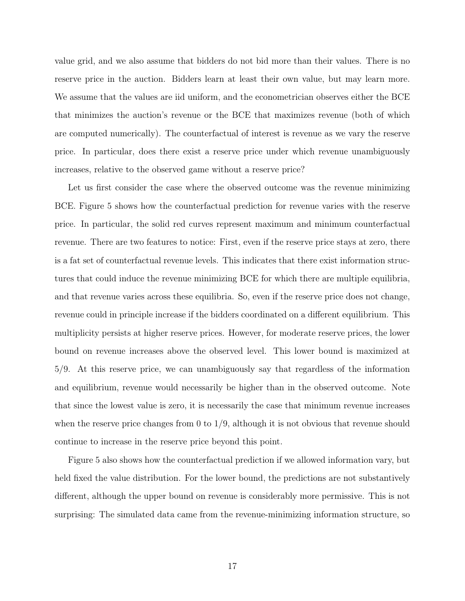value grid, and we also assume that bidders do not bid more than their values. There is no reserve price in the auction. Bidders learn at least their own value, but may learn more. We assume that the values are iid uniform, and the econometrician observes either the BCE that minimizes the auction's revenue or the BCE that maximizes revenue (both of which are computed numerically). The counterfactual of interest is revenue as we vary the reserve price. In particular, does there exist a reserve price under which revenue unambiguously increases, relative to the observed game without a reserve price?

Let us first consider the case where the observed outcome was the revenue minimizing BCE. Figure 5 shows how the counterfactual prediction for revenue varies with the reserve price. In particular, the solid red curves represent maximum and minimum counterfactual revenue. There are two features to notice: First, even if the reserve price stays at zero, there is a fat set of counterfactual revenue levels. This indicates that there exist information structures that could induce the revenue minimizing BCE for which there are multiple equilibria, and that revenue varies across these equilibria. So, even if the reserve price does not change, revenue could in principle increase if the bidders coordinated on a different equilibrium. This multiplicity persists at higher reserve prices. However, for moderate reserve prices, the lower bound on revenue increases above the observed level. This lower bound is maximized at 5/9. At this reserve price, we can unambiguously say that regardless of the information and equilibrium, revenue would necessarily be higher than in the observed outcome. Note that since the lowest value is zero, it is necessarily the case that minimum revenue increases when the reserve price changes from  $0$  to  $1/9$ , although it is not obvious that revenue should continue to increase in the reserve price beyond this point.

Figure 5 also shows how the counterfactual prediction if we allowed information vary, but held fixed the value distribution. For the lower bound, the predictions are not substantively different, although the upper bound on revenue is considerably more permissive. This is not surprising: The simulated data came from the revenue-minimizing information structure, so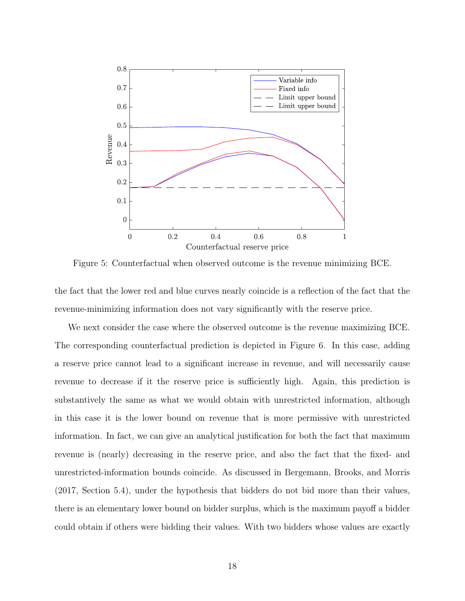

Figure 5: Counterfactual when observed outcome is the revenue minimizing BCE.

the fact that the lower red and blue curves nearly coincide is a reflection of the fact that the revenue-minimizing information does not vary significantly with the reserve price.

We next consider the case where the observed outcome is the revenue maximizing BCE. The corresponding counterfactual prediction is depicted in Figure 6. In this case, adding a reserve price cannot lead to a significant increase in revenue, and will necessarily cause revenue to decrease if it the reserve price is sufficiently high. Again, this prediction is substantively the same as what we would obtain with unrestricted information, although in this case it is the lower bound on revenue that is more permissive with unrestricted information. In fact, we can give an analytical justification for both the fact that maximum revenue is (nearly) decreasing in the reserve price, and also the fact that the fixed- and unrestricted-information bounds coincide. As discussed in Bergemann, Brooks, and Morris (2017, Section 5.4), under the hypothesis that bidders do not bid more than their values, there is an elementary lower bound on bidder surplus, which is the maximum payoff a bidder could obtain if others were bidding their values. With two bidders whose values are exactly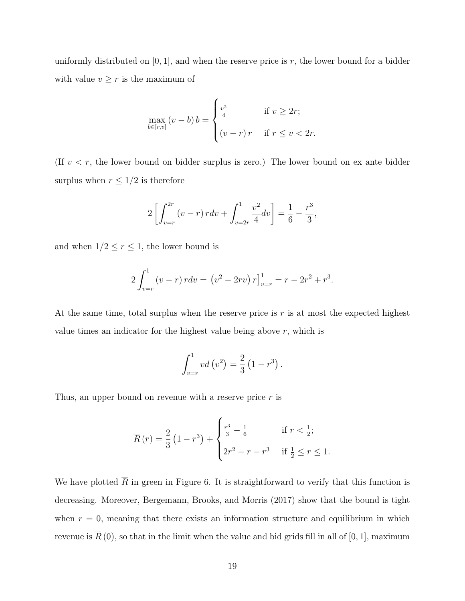uniformly distributed on  $[0, 1]$ , and when the reserve price is r, the lower bound for a bidder with value  $v\geq r$  is the maximum of

$$
\max_{b \in [r,v]} (v - b) b = \begin{cases} \frac{v^2}{4} & \text{if } v \ge 2r; \\ (v - r) r & \text{if } r \le v < 2r. \end{cases}
$$

(If  $v < r$ , the lower bound on bidder surplus is zero.) The lower bound on ex ante bidder surplus when  $r \leq 1/2$  is therefore

$$
2\left[\int_{v=r}^{2r} (v-r) \, r dv + \int_{v=2r}^{1} \frac{v^2}{4} dv\right] = \frac{1}{6} - \frac{r^3}{3},
$$

and when  $1/2 \le r \le 1$ , the lower bound is

$$
2\int_{v=r}^{1} (v-r) \, r dv = (v^2 - 2rv) \, r \Big|_{v=r}^{1} = r - 2r^2 + r^3.
$$

At the same time, total surplus when the reserve price is  $r$  is at most the expected highest value times an indicator for the highest value being above  $r$ , which is

$$
\int_{v=r}^{1} v d(v^{2}) = \frac{2}{3} (1 - r^{3}).
$$

Thus, an upper bound on revenue with a reserve price  $r$  is

$$
\overline{R}(r) = \frac{2}{3} \left( 1 - r^3 \right) + \begin{cases} \frac{r^3}{3} - \frac{1}{6} & \text{if } r < \frac{1}{2}; \\ 2r^2 - r - r^3 & \text{if } \frac{1}{2} \le r \le 1. \end{cases}
$$

We have plotted  $\overline{R}$  in green in Figure 6. It is straightforward to verify that this function is decreasing. Moreover, Bergemann, Brooks, and Morris (2017) show that the bound is tight when  $r = 0$ , meaning that there exists an information structure and equilibrium in which revenue is  $\overline{R}(0)$ , so that in the limit when the value and bid grids fill in all of [0, 1], maximum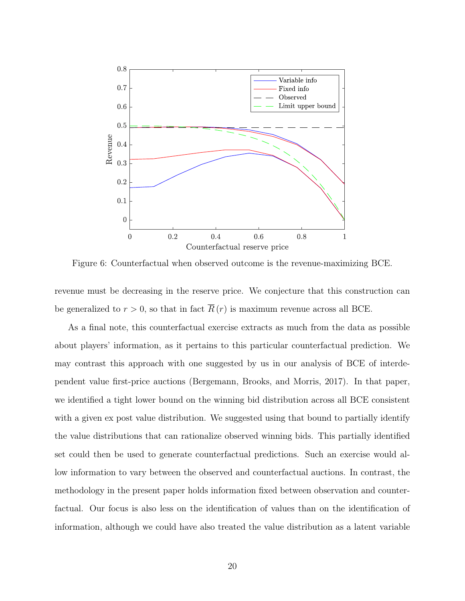

Figure 6: Counterfactual when observed outcome is the revenue-maximizing BCE.

revenue must be decreasing in the reserve price. We conjecture that this construction can be generalized to  $r > 0$ , so that in fact  $\overline{R}(r)$  is maximum revenue across all BCE.

As a final note, this counterfactual exercise extracts as much from the data as possible about players' information, as it pertains to this particular counterfactual prediction. We may contrast this approach with one suggested by us in our analysis of BCE of interdependent value first-price auctions (Bergemann, Brooks, and Morris, 2017). In that paper, we identified a tight lower bound on the winning bid distribution across all BCE consistent with a given ex post value distribution. We suggested using that bound to partially identify the value distributions that can rationalize observed winning bids. This partially identified set could then be used to generate counterfactual predictions. Such an exercise would allow information to vary between the observed and counterfactual auctions. In contrast, the methodology in the present paper holds information fixed between observation and counterfactual. Our focus is also less on the identification of values than on the identification of information, although we could have also treated the value distribution as a latent variable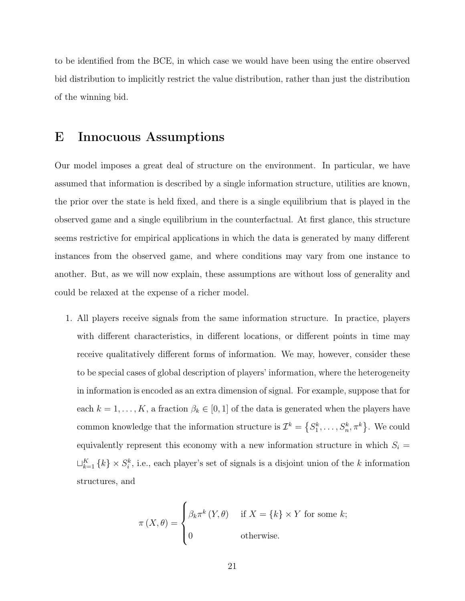to be identified from the BCE, in which case we would have been using the entire observed bid distribution to implicitly restrict the value distribution, rather than just the distribution of the winning bid.

### E Innocuous Assumptions

Our model imposes a great deal of structure on the environment. In particular, we have assumed that information is described by a single information structure, utilities are known, the prior over the state is held fixed, and there is a single equilibrium that is played in the observed game and a single equilibrium in the counterfactual. At first glance, this structure seems restrictive for empirical applications in which the data is generated by many different instances from the observed game, and where conditions may vary from one instance to another. But, as we will now explain, these assumptions are without loss of generality and could be relaxed at the expense of a richer model.

1. All players receive signals from the same information structure. In practice, players with different characteristics, in different locations, or different points in time may receive qualitatively different forms of information. We may, however, consider these to be special cases of global description of players' information, where the heterogeneity in information is encoded as an extra dimension of signal. For example, suppose that for each  $k = 1, \ldots, K$ , a fraction  $\beta_k \in [0, 1]$  of the data is generated when the players have common knowledge that the information structure is  $\mathcal{I}^k = \{S^k_1, \ldots, S^k_n, \pi^k\}$ . We could equivalently represent this economy with a new information structure in which  $S_i$  =  $\sqcup_{k=1}^K \{k\} \times S_i^k$ , i.e., each player's set of signals is a disjoint union of the k information structures, and

$$
\pi(X,\theta) = \begin{cases} \beta_k \pi^k(Y,\theta) & \text{if } X = \{k\} \times Y \text{ for some } k; \\ 0 & \text{otherwise.} \end{cases}
$$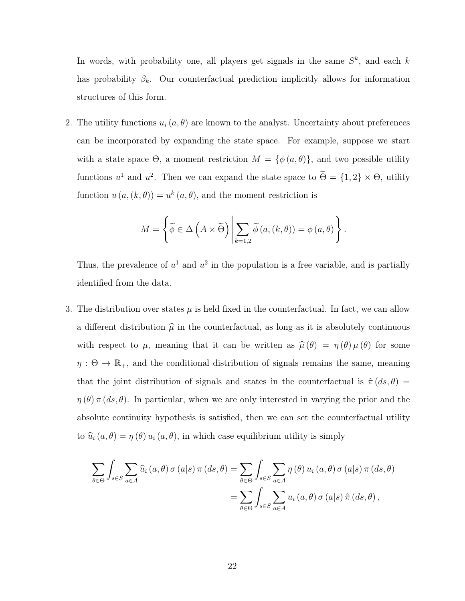In words, with probability one, all players get signals in the same  $S^k$ , and each k has probability  $\beta_k$ . Our counterfactual prediction implicitly allows for information structures of this form.

2. The utility functions  $u_i(a, \theta)$  are known to the analyst. Uncertainty about preferences can be incorporated by expanding the state space. For example, suppose we start with a state space  $\Theta$ , a moment restriction  $M = \{\phi(a, \theta)\}\$ , and two possible utility functions  $u^1$  and  $u^2$ . Then we can expand the state space to  $\Theta = \{1, 2\} \times \Theta$ , utility function  $u(a, (k, \theta)) = u^k(a, \theta)$ , and the moment restriction is

$$
M = \left\{ \widetilde{\phi} \in \Delta \left( A \times \widetilde{\Theta} \right) \middle| \sum_{k=1,2} \widetilde{\phi} \left( a,(k,\theta) \right) = \phi \left( a,\theta \right) \right\}.
$$

Thus, the prevalence of  $u^1$  and  $u^2$  in the population is a free variable, and is partially identified from the data.

3. The distribution over states  $\mu$  is held fixed in the counterfactual. In fact, we can allow a different distribution  $\hat{\mu}$  in the counterfactual, as long as it is absolutely continuous with respect to  $\mu$ , meaning that it can be written as  $\hat{\mu}(\theta) = \eta(\theta) \mu(\theta)$  for some  $\eta$  :  $\Theta$   $\rightarrow$   $\mathbb{R}_{+},$  and the conditional distribution of signals remains the same, meaning that the joint distribution of signals and states in the counterfactual is  $\hat{\pi}$  (ds,  $\theta$ ) =  $\eta(\theta)$  π (ds,  $\theta$ ). In particular, when we are only interested in varying the prior and the absolute continuity hypothesis is satisfied, then we can set the counterfactual utility to  $\hat{u}_i(a, \theta) = \eta(\theta) u_i(a, \theta)$ , in which case equilibrium utility is simply

$$
\sum_{\theta \in \Theta} \int_{s \in S} \sum_{a \in A} \widehat{u}_i(a, \theta) \sigma(a|s) \pi(ds, \theta) = \sum_{\theta \in \Theta} \int_{s \in S} \sum_{a \in A} \eta(\theta) u_i(a, \theta) \sigma(a|s) \pi(ds, \theta)
$$

$$
= \sum_{\theta \in \Theta} \int_{s \in S} \sum_{a \in A} u_i(a, \theta) \sigma(a|s) \hat{\pi}(ds, \theta),
$$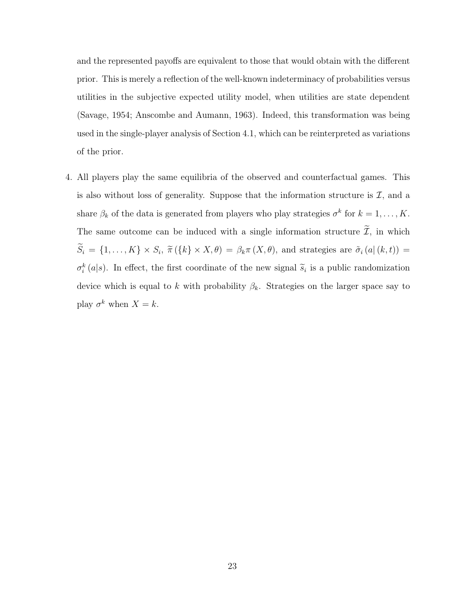and the represented payoffs are equivalent to those that would obtain with the different prior. This is merely a reflection of the well-known indeterminacy of probabilities versus utilities in the subjective expected utility model, when utilities are state dependent (Savage, 1954; Anscombe and Aumann, 1963). Indeed, this transformation was being used in the single-player analysis of Section 4.1, which can be reinterpreted as variations of the prior.

4. All players play the same equilibria of the observed and counterfactual games. This is also without loss of generality. Suppose that the information structure is  $\mathcal{I}$ , and a share  $\beta_k$  of the data is generated from players who play strategies  $\sigma^k$  for  $k = 1, \ldots, K$ . The same outcome can be induced with a single information structure  $\widetilde{\mathcal{I}}$ , in which  $S_i = \{1, ..., K\} \times S_i$ ,  $\tilde{\pi}(\{k\} \times X, \theta) = \beta_k \pi(X, \theta)$ , and strategies are  $\tilde{\sigma}_i(a|(k, t)) =$  $\sigma_i^k(a|s)$ . In effect, the first coordinate of the new signal  $\tilde{s}_i$  is a public randomization device which is equal to k with probability  $\beta_k$ . Strategies on the larger space say to play  $\sigma^k$  when  $X = k$ .